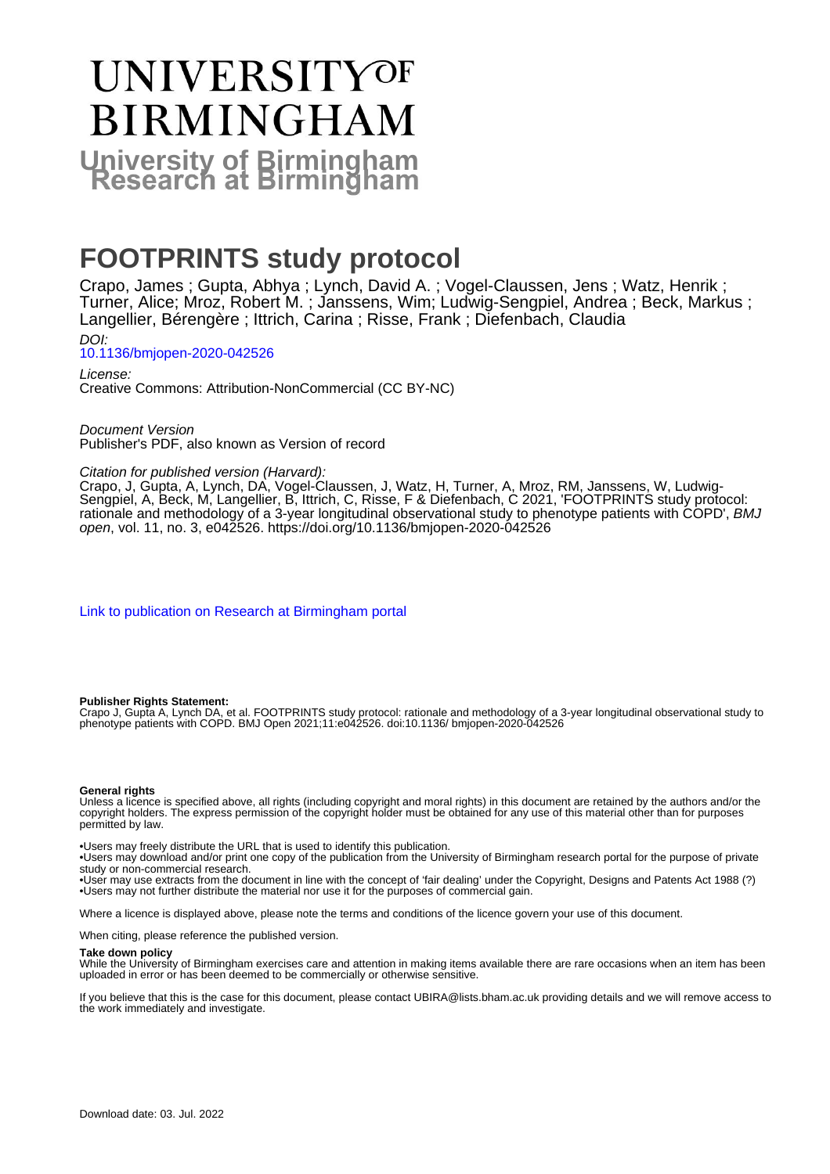# **UNIVERSITYOF BIRMINGHAM University of Birmingham**

# **FOOTPRINTS study protocol**

Crapo, James ; Gupta, Abhya ; Lynch, David A. ; Vogel-Claussen, Jens ; Watz, Henrik ; Turner, Alice; Mroz, Robert M. ; Janssens, Wim; Ludwig-Sengpiel, Andrea ; Beck, Markus ; Langellier, Bérengère ; Ittrich, Carina ; Risse, Frank ; Diefenbach, Claudia DOI:

[10.1136/bmjopen-2020-042526](https://doi.org/10.1136/bmjopen-2020-042526)

License: Creative Commons: Attribution-NonCommercial (CC BY-NC)

Document Version Publisher's PDF, also known as Version of record

# Citation for published version (Harvard):

Crapo, J, Gupta, A, Lynch, DA, Vogel-Claussen, J, Watz, H, Turner, A, Mroz, RM, Janssens, W, Ludwig-Sengpiel, A, Beck, M, Langellier, B, Ittrich, C, Risse, F & Diefenbach, C 2021, 'FOOTPRINTS study protocol: rationale and methodology of a 3-year longitudinal observational study to phenotype patients with COPD', *BMJ* open, vol. 11, no. 3, e042526.<https://doi.org/10.1136/bmjopen-2020-042526>

[Link to publication on Research at Birmingham portal](https://birmingham.elsevierpure.com/en/publications/20212be5-d033-4e7d-9fc0-84c61da67769)

#### **Publisher Rights Statement:**

Crapo J, Gupta A, Lynch DA, et al. FOOTPRINTS study protocol: rationale and methodology of a 3-year longitudinal observational study to phenotype patients with COPD. BMJ Open 2021;11:e042526. doi:10.1136/ bmjopen-2020-042526

#### **General rights**

Unless a licence is specified above, all rights (including copyright and moral rights) in this document are retained by the authors and/or the copyright holders. The express permission of the copyright holder must be obtained for any use of this material other than for purposes permitted by law.

• Users may freely distribute the URL that is used to identify this publication.

• Users may download and/or print one copy of the publication from the University of Birmingham research portal for the purpose of private study or non-commercial research.

• User may use extracts from the document in line with the concept of 'fair dealing' under the Copyright, Designs and Patents Act 1988 (?) • Users may not further distribute the material nor use it for the purposes of commercial gain.

Where a licence is displayed above, please note the terms and conditions of the licence govern your use of this document.

When citing, please reference the published version.

#### **Take down policy**

While the University of Birmingham exercises care and attention in making items available there are rare occasions when an item has been uploaded in error or has been deemed to be commercially or otherwise sensitive.

If you believe that this is the case for this document, please contact UBIRA@lists.bham.ac.uk providing details and we will remove access to the work immediately and investigate.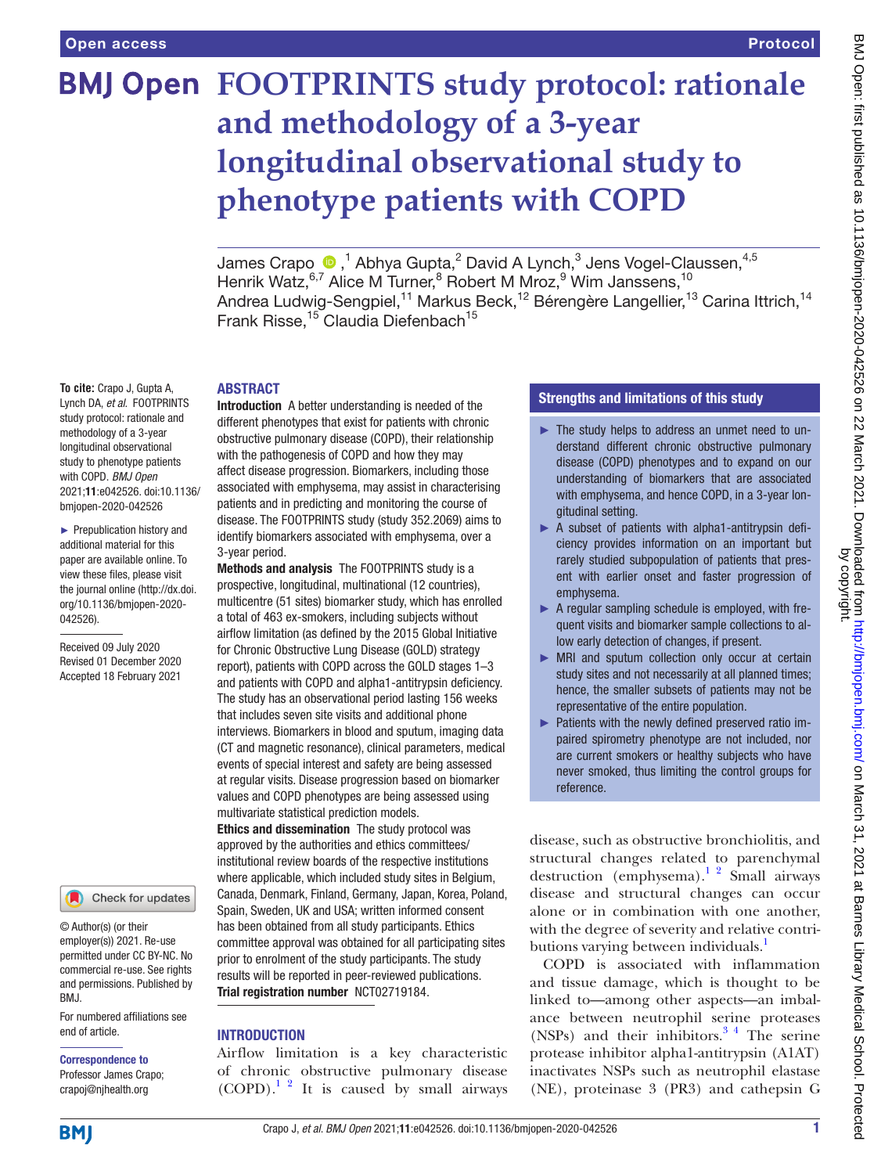# **BMJ Open FOOTPRINTS study protocol: rationale and methodology of a 3-year longitudinal observational study to phenotype patients with COPD**

James Crapo  $\textbf{0}$  ,<sup>1</sup> Abhya Gupta,<sup>2</sup> David A Lynch,<sup>3</sup> Jens Vogel-Claussen,<sup>4,5</sup> Henrik Watz, <sup>6,7</sup> Alice M Turner, <sup>8</sup> Robert M Mroz, <sup>9</sup> Wim Janssens, <sup>10</sup> Andrea Ludwig-Sengpiel,<sup>11</sup> Markus Beck,<sup>12</sup> Bérengère Langellier,<sup>13</sup> Carina Ittrich,<sup>14</sup> Frank Risse,<sup>15</sup> Claudia Diefenbach<sup>15</sup>

#### ABSTRACT

**To cite:** Crapo J, Gupta A, Lynch DA, *et al*. FOOTPRINTS study protocol: rationale and methodology of a 3-year longitudinal observational study to phenotype patients with COPD. *BMJ Open* 2021;11:e042526. doi:10.1136/ bmjopen-2020-042526

► Prepublication history and additional material for this paper are available online. To view these files, please visit the journal online (http://dx.doi. org/10.1136/bmjopen-2020- 042526).

Received 09 July 2020 Revised 01 December 2020 Accepted 18 February 2021



© Author(s) (or their employer(s)) 2021. Re-use permitted under CC BY-NC. No commercial re-use. See rights and permissions. Published by BMJ.

For numbered affiliations see end of article.

Correspondence to Professor James Crapo; crapoj@njhealth.org

Introduction A better understanding is needed of the different phenotypes that exist for patients with chronic obstructive pulmonary disease (COPD), their relationship with the pathogenesis of COPD and how they may affect disease progression. Biomarkers, including those associated with emphysema, may assist in characterising patients and in predicting and monitoring the course of disease. The FOOTPRINTS study (study 352.2069) aims to identify biomarkers associated with emphysema, over a 3-year period.

Methods and analysis The FOOTPRINTS study is a prospective, longitudinal, multinational (12 countries), multicentre (51 sites) biomarker study, which has enrolled a total of 463 ex-smokers, including subjects without airflow limitation (as defined by the 2015 Global Initiative for Chronic Obstructive Lung Disease (GOLD) strategy report), patients with COPD across the GOLD stages 1–3 and patients with COPD and alpha1-antitrypsin deficiency. The study has an observational period lasting 156 weeks that includes seven site visits and additional phone interviews. Biomarkers in blood and sputum, imaging data (CT and magnetic resonance), clinical parameters, medical events of special interest and safety are being assessed at regular visits. Disease progression based on biomarker values and COPD phenotypes are being assessed using multivariate statistical prediction models.

Ethics and dissemination The study protocol was approved by the authorities and ethics committees/ institutional review boards of the respective institutions where applicable, which included study sites in Belgium, Canada, Denmark, Finland, Germany, Japan, Korea, Poland, Spain, Sweden, UK and USA; written informed consent has been obtained from all study participants. Ethics committee approval was obtained for all participating sites prior to enrolment of the study participants. The study results will be reported in peer-reviewed publications. Trial registration number <NCT02719184>.

# **INTRODUCTION**

Airflow limitation is a key characteristic of chronic obstructive pulmonary disease  $(COPD)^{1/2}$  It is caused by small airways

# Strengths and limitations of this study

- ► The study helps to address an unmet need to understand different chronic obstructive pulmonary disease (COPD) phenotypes and to expand on our understanding of biomarkers that are associated with emphysema, and hence COPD, in a 3-year longitudinal setting.
- ► A subset of patients with alpha1-antitrypsin deficiency provides information on an important but rarely studied subpopulation of patients that present with earlier onset and faster progression of emphysema.
- ► A regular sampling schedule is employed, with frequent visits and biomarker sample collections to allow early detection of changes, if present.
- ► MRI and sputum collection only occur at certain study sites and not necessarily at all planned times; hence, the smaller subsets of patients may not be representative of the entire population.
- ► Patients with the newly defined preserved ratio impaired spirometry phenotype are not included, nor are current smokers or healthy subjects who have never smoked, thus limiting the control groups for reference.

disease, such as obstructive bronchiolitis, and structural changes related to parenchymal destruction (emphysema).<sup>1</sup> <sup>2</sup> Small airways disease and structural changes can occur alone or in combination with one another, with the degree of severity and relative contri-butions varying between individuals.<sup>[1](#page-9-0)</sup>

COPD is associated with inflammation and tissue damage, which is thought to be linked to—among other aspects—an imbalance between neutrophil serine proteases (NSPs) and their inhibitors. $3<sup>4</sup>$  The serine protease inhibitor alpha1-antitrypsin (A1AT) inactivates NSPs such as neutrophil elastase (NE), proteinase 3 (PR3) and cathepsin G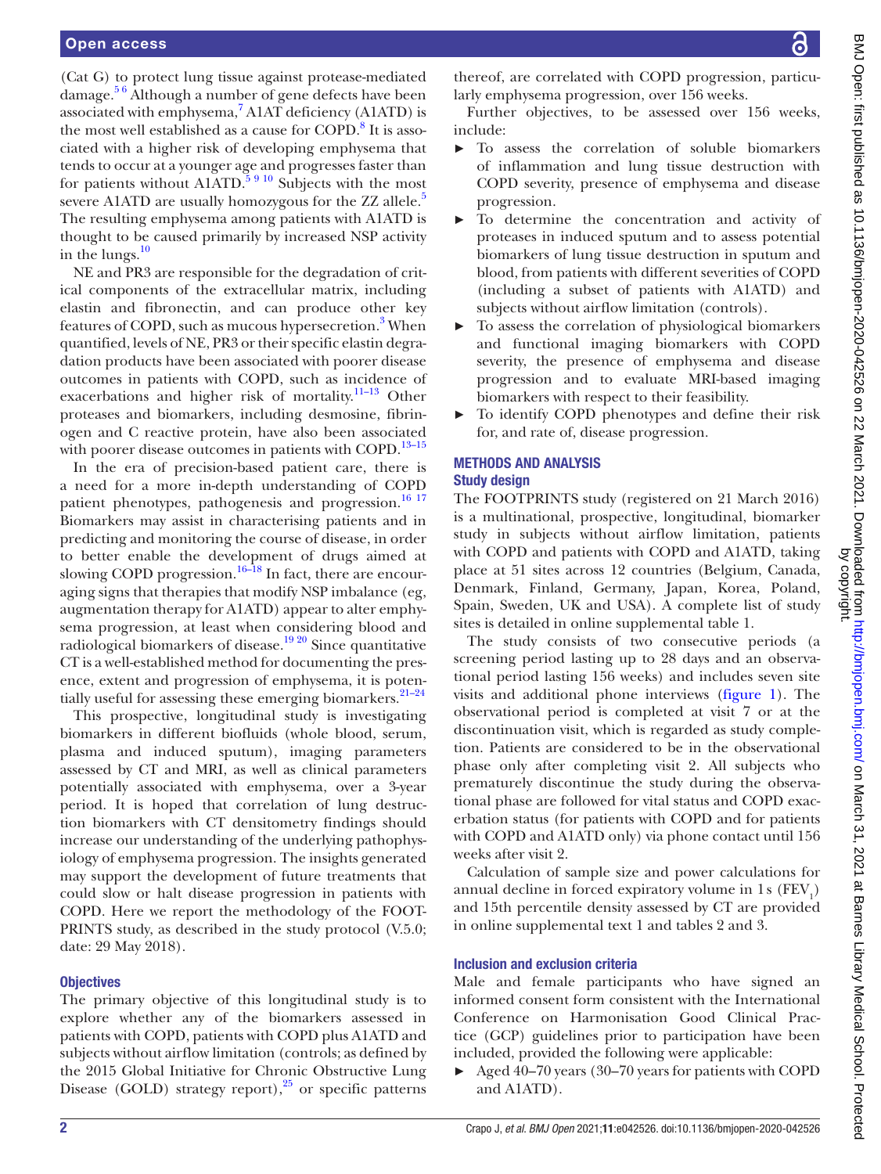(Cat G) to protect lung tissue against protease-mediated damage.<sup>56</sup> Although a number of gene defects have been associated with emphysema,<sup>[7](#page-9-3)</sup> A1AT deficiency (A1ATD) is the most well established as a cause for COPD.<sup>8</sup> It is associated with a higher risk of developing emphysema that tends to occur at a younger age and progresses faster than for patients without A1ATD.<sup>5 9 10</sup> Subjects with the most severe A1ATD are usually homozygous for the ZZ allele.<sup>[5](#page-9-2)</sup> The resulting emphysema among patients with A1ATD is thought to be caused primarily by increased NSP activity in the lungs. $\frac{10}{10}$  $\frac{10}{10}$  $\frac{10}{10}$ 

NE and PR3 are responsible for the degradation of critical components of the extracellular matrix, including elastin and fibronectin, and can produce other key features of COPD, such as mucous hypersecretion.<sup>[3](#page-9-1)</sup> When quantified, levels of NE, PR3 or their specific elastin degradation products have been associated with poorer disease outcomes in patients with COPD, such as incidence of exacerbations and higher risk of mortality.[11–13](#page-9-6) Other proteases and biomarkers, including desmosine, fibrinogen and C reactive protein, have also been associated with poorer disease outcomes in patients with COPD.<sup>[13–15](#page-9-7)</sup>

In the era of precision-based patient care, there is a need for a more in-depth understanding of COPD patient phenotypes, pathogenesis and progression.<sup>16</sup><sup>17</sup> Biomarkers may assist in characterising patients and in predicting and monitoring the course of disease, in order to better enable the development of drugs aimed at slowing COPD progression.<sup>[16–18](#page-9-8)</sup> In fact, there are encouraging signs that therapies that modify NSP imbalance (eg, augmentation therapy for A1ATD) appear to alter emphysema progression, at least when considering blood and radiological biomarkers of disease.<sup>19 20</sup> Since quantitative CT is a well-established method for documenting the presence, extent and progression of emphysema, it is potentially useful for assessing these emerging biomarkers.<sup>21-24</sup>

This prospective, longitudinal study is investigating biomarkers in different biofluids (whole blood, serum, plasma and induced sputum), imaging parameters assessed by CT and MRI, as well as clinical parameters potentially associated with emphysema, over a 3-year period. It is hoped that correlation of lung destruction biomarkers with CT densitometry findings should increase our understanding of the underlying pathophysiology of emphysema progression. The insights generated may support the development of future treatments that could slow or halt disease progression in patients with COPD. Here we report the methodology of the FOOT-PRINTS study, as described in the study protocol (V.5.0; date: 29 May 2018).

#### **Objectives**

The primary objective of this longitudinal study is to explore whether any of the biomarkers assessed in patients with COPD, patients with COPD plus A1ATD and subjects without airflow limitation (controls; as defined by the 2015 Global Initiative for Chronic Obstructive Lung Disease (GOLD) strategy report), $^{25}$  $^{25}$  $^{25}$  or specific patterns

thereof, are correlated with COPD progression, particularly emphysema progression, over 156 weeks.

Further objectives, to be assessed over 156 weeks, include:

- ► To assess the correlation of soluble biomarkers of inflammation and lung tissue destruction with COPD severity, presence of emphysema and disease progression.
- ► To determine the concentration and activity of proteases in induced sputum and to assess potential biomarkers of lung tissue destruction in sputum and blood, from patients with different severities of COPD (including a subset of patients with A1ATD) and subjects without airflow limitation (controls).
- ► To assess the correlation of physiological biomarkers and functional imaging biomarkers with COPD severity, the presence of emphysema and disease progression and to evaluate MRI-based imaging biomarkers with respect to their feasibility.
- ► To identify COPD phenotypes and define their risk for, and rate of, disease progression.

#### METHODS AND ANALYSIS Study design

The FOOTPRINTS study (registered on 21 March 2016) is a multinational, prospective, longitudinal, biomarker study in subjects without airflow limitation, patients with COPD and patients with COPD and A1ATD, taking place at 51 sites across 12 countries (Belgium, Canada, Denmark, Finland, Germany, Japan, Korea, Poland, Spain, Sweden, UK and USA). A complete list of study sites is detailed in [online supplemental table 1.](https://dx.doi.org/10.1136/bmjopen-2020-042526)

The study consists of two consecutive periods (a screening period lasting up to 28 days and an observational period lasting 156 weeks) and includes seven site visits and additional phone interviews [\(figure](#page-3-0) 1). The observational period is completed at visit 7 or at the discontinuation visit, which is regarded as study completion. Patients are considered to be in the observational phase only after completing visit 2. All subjects who prematurely discontinue the study during the observational phase are followed for vital status and COPD exacerbation status (for patients with COPD and for patients with COPD and A1ATD only) via phone contact until 156 weeks after visit 2.

Calculation of sample size and power calculations for annual decline in forced expiratory volume in  $1\,\mathrm{s}$  (FEV<sub>1</sub>) and 15th percentile density assessed by CT are provided in [online supplemental text 1 and tables 2 and 3.](https://dx.doi.org/10.1136/bmjopen-2020-042526)

# Inclusion and exclusion criteria

Male and female participants who have signed an informed consent form consistent with the International Conference on Harmonisation Good Clinical Practice (GCP) guidelines prior to participation have been included, provided the following were applicable:

► Aged 40–70 years (30–70 years for patients with COPD and A1ATD).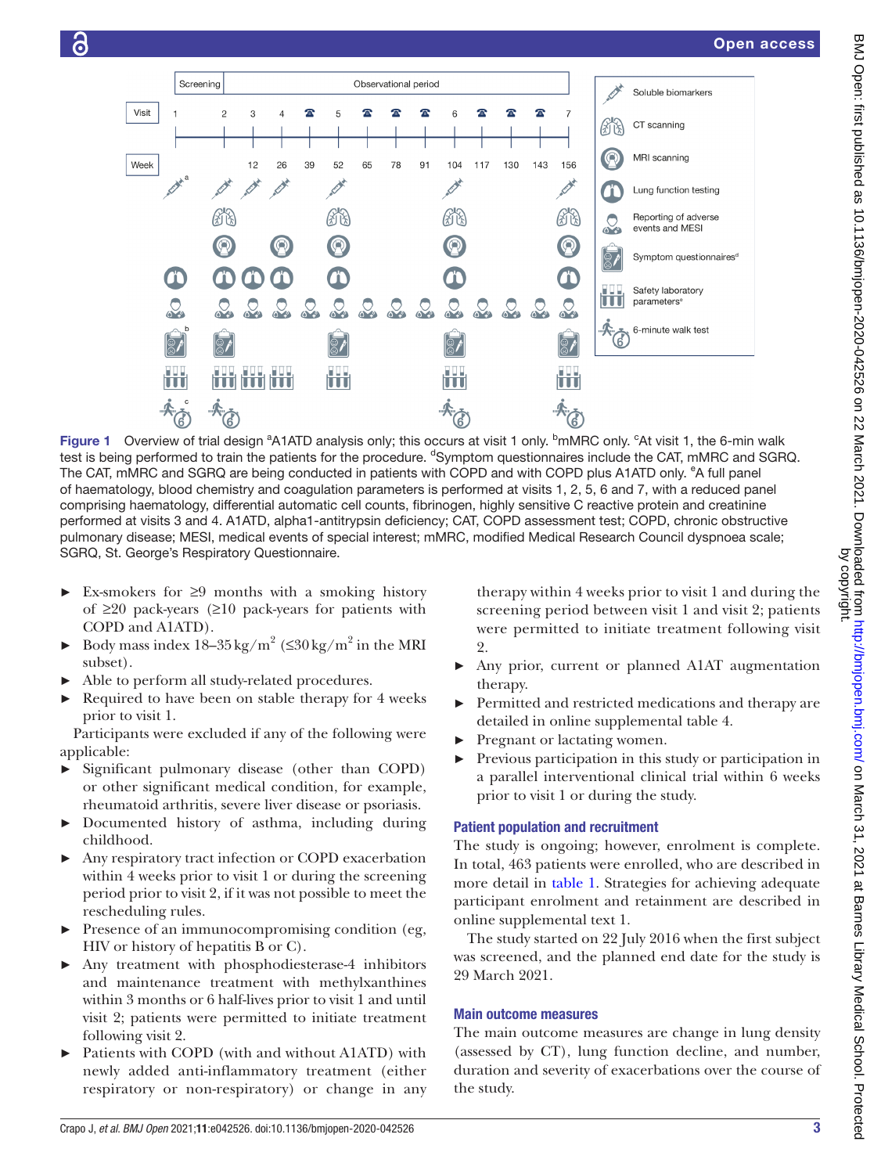

<span id="page-3-0"></span>Figure 1 Overview of trial design <sup>a</sup>A1ATD analysis only; this occurs at visit 1 only. <sup>b</sup>mMRC only. <sup>c</sup>At visit 1, the 6-min walk test is being performed to train the patients for the procedure. <sup>d</sup>Symptom questionnaires include the CAT, mMRC and SGRQ. The CAT, mMRC and SGRQ are being conducted in patients with COPD and with COPD plus A1ATD only. <sup>e</sup>A full panel of haematology, blood chemistry and coagulation parameters is performed at visits 1, 2, 5, 6 and 7, with a reduced panel comprising haematology, differential automatic cell counts, fibrinogen, highly sensitive C reactive protein and creatinine performed at visits 3 and 4. A1ATD, alpha1-antitrypsin deficiency; CAT, COPD assessment test; COPD, chronic obstructive pulmonary disease; MESI, medical events of special interest; mMRC, modified Medical Research Council dyspnoea scale; SGRQ, St. George's Respiratory Questionnaire.

- $\triangleright$  Ex-smokers for  $\geq$ 9 months with a smoking history of ≥20 pack-years (≥10 pack-years for patients with COPD and A1ATD).
- ► Body mass index  $18-35 \text{ kg/m}^2$  (≤30 kg/m<sup>2</sup> in the MRI subset).
- Able to perform all study-related procedures.
- Required to have been on stable therapy for 4 weeks prior to visit 1.

Participants were excluded if any of the following were applicable:

- Significant pulmonary disease (other than COPD) or other significant medical condition, for example, rheumatoid arthritis, severe liver disease or psoriasis.
- ► Documented history of asthma, including during childhood.
- ► Any respiratory tract infection or COPD exacerbation within 4 weeks prior to visit 1 or during the screening period prior to visit 2, if it was not possible to meet the rescheduling rules.
- Presence of an immunocompromising condition (eg, HIV or history of hepatitis B or C).
- Any treatment with phosphodiesterase-4 inhibitors and maintenance treatment with methylxanthines within 3 months or 6 half-lives prior to visit 1 and until visit 2; patients were permitted to initiate treatment following visit 2.
- Patients with COPD (with and without A1ATD) with newly added anti-inflammatory treatment (either respiratory or non-respiratory) or change in any

therapy within 4 weeks prior to visit 1 and during the screening period between visit 1 and visit 2; patients were permitted to initiate treatment following visit 2.

- Any prior, current or planned A1AT augmentation therapy.
- Permitted and restricted medications and therapy are detailed in [online supplemental table 4](https://dx.doi.org/10.1136/bmjopen-2020-042526).
- Pregnant or lactating women.
- Previous participation in this study or participation in a parallel interventional clinical trial within 6 weeks prior to visit 1 or during the study.

# Patient population and recruitment

The study is ongoing; however, enrolment is complete. In total, 463 patients were enrolled, who are described in more detail in [table](#page-4-0) 1. Strategies for achieving adequate participant enrolment and retainment are described in [online supplemental text 1.](https://dx.doi.org/10.1136/bmjopen-2020-042526)

The study started on 22 July 2016 when the first subject was screened, and the planned end date for the study is 29 March 2021.

# Main outcome measures

The main outcome measures are change in lung density (assessed by CT), lung function decline, and number, duration and severity of exacerbations over the course of the study.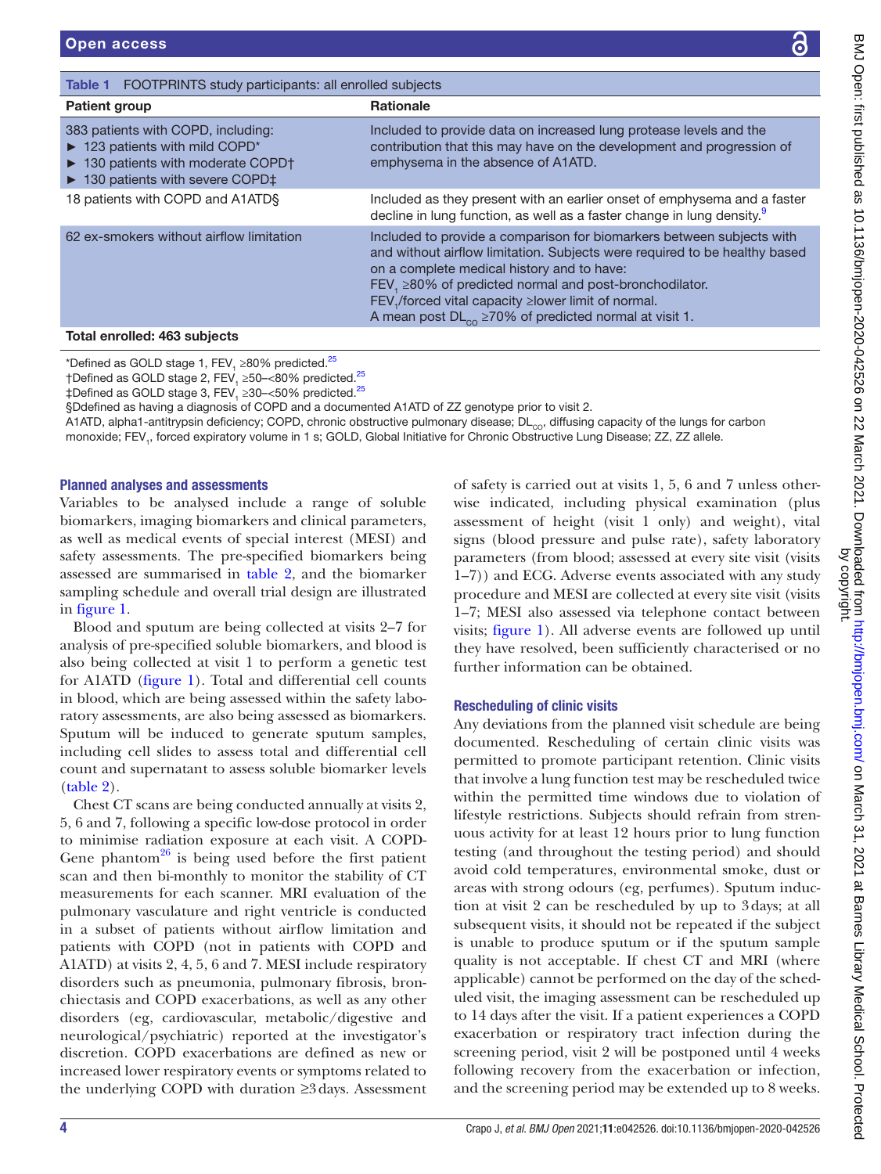| .<br>.<br>. | B NO Open: first predisibed as < 10.1136/bmjopen-2020-042526 on 22 March 2021. Uownloaded trom http://bmjoper-<br><b>Allis City City City City Listing Lists Lists City Installation</b><br>nnnn<br>D |
|-------------|-------------------------------------------------------------------------------------------------------------------------------------------------------------------------------------------------------|
|             |                                                                                                                                                                                                       |

<span id="page-4-0"></span>

| <b>Table 1</b> FOOTPRINTS study participants: all enrolled subjects                                                                                                |                                                                                                                                                                                                                                                                                                                                                                                                     |  |  |
|--------------------------------------------------------------------------------------------------------------------------------------------------------------------|-----------------------------------------------------------------------------------------------------------------------------------------------------------------------------------------------------------------------------------------------------------------------------------------------------------------------------------------------------------------------------------------------------|--|--|
| <b>Patient group</b>                                                                                                                                               | <b>Rationale</b>                                                                                                                                                                                                                                                                                                                                                                                    |  |  |
| 383 patients with COPD, including:<br>$\blacktriangleright$ 123 patients with mild COPD*<br>• 130 patients with moderate COPD†<br>▶ 130 patients with severe COPD‡ | Included to provide data on increased lung protease levels and the<br>contribution that this may have on the development and progression of<br>emphysema in the absence of A1ATD.                                                                                                                                                                                                                   |  |  |
| 18 patients with COPD and A1ATDS                                                                                                                                   | Included as they present with an earlier onset of emphysema and a faster<br>decline in lung function, as well as a faster change in lung density. <sup>9</sup>                                                                                                                                                                                                                                      |  |  |
| 62 ex-smokers without airflow limitation                                                                                                                           | Included to provide a comparison for biomarkers between subjects with<br>and without airflow limitation. Subjects were required to be healthy based<br>on a complete medical history and to have:<br>FEV, $\geq$ 80% of predicted normal and post-bronchodilator.<br>FEV, /forced vital capacity ≥lower limit of normal.<br>A mean post $DL_{\text{co}}$ $\geq$ 70% of predicted normal at visit 1. |  |  |
| Total enrolled: 463 subjects                                                                                                                                       |                                                                                                                                                                                                                                                                                                                                                                                                     |  |  |

\*Defined as GOLD stage 1, FEV<sub>1</sub> ≥80% predicted.<sup>[25](#page-9-11)</sup>

†Defined as GOLD stage 2, FEV, ≥50–<80% predicted.<sup>25</sup>

 $\ddagger$ Defined as GOLD stage 3, FEV $_{_1}$   $\geq$ 30– $<$ 50% predicted. $^{25}$ 

§Ddefined as having a diagnosis of COPD and a documented A1ATD of ZZ genotype prior to visit 2.

A1ATD, alpha1-antitrypsin deficiency; COPD, chronic obstructive pulmonary disease;  $DL<sub>CO</sub>$  diffusing capacity of the lungs for carbon monoxide; FEV<sub>1</sub>, forced expiratory volume in 1 s; GOLD, Global Initiative for Chronic Obstructive Lung Disease; ZZ, ZZ allele.

#### Planned analyses and assessments

Variables to be analysed include a range of soluble biomarkers, imaging biomarkers and clinical parameters, as well as medical events of special interest (MESI) and safety assessments. The pre-specified biomarkers being assessed are summarised in [table](#page-5-0) 2, and the biomarker sampling schedule and overall trial design are illustrated in [figure](#page-3-0) 1.

Blood and sputum are being collected at visits 2–7 for analysis of pre-specified soluble biomarkers, and blood is also being collected at visit 1 to perform a genetic test for A1ATD ([figure](#page-3-0) 1). Total and differential cell counts in blood, which are being assessed within the safety laboratory assessments, are also being assessed as biomarkers. Sputum will be induced to generate sputum samples, including cell slides to assess total and differential cell count and supernatant to assess soluble biomarker levels ([table](#page-5-0) 2).

Chest CT scans are being conducted annually at visits 2, 5, 6 and 7, following a specific low-dose protocol in order to minimise radiation exposure at each visit. A COPD-Gene phantom<sup>26</sup> is being used before the first patient scan and then bi-monthly to monitor the stability of CT measurements for each scanner. MRI evaluation of the pulmonary vasculature and right ventricle is conducted in a subset of patients without airflow limitation and patients with COPD (not in patients with COPD and A1ATD) at visits 2, 4, 5, 6 and 7. MESI include respiratory disorders such as pneumonia, pulmonary fibrosis, bronchiectasis and COPD exacerbations, as well as any other disorders (eg, cardiovascular, metabolic/digestive and neurological/psychiatric) reported at the investigator's discretion. COPD exacerbations are defined as new or increased lower respiratory events or symptoms related to the underlying COPD with duration ≥3days. Assessment

of safety is carried out at visits 1, 5, 6 and 7 unless otherwise indicated, including physical examination (plus assessment of height (visit 1 only) and weight), vital signs (blood pressure and pulse rate), safety laboratory parameters (from blood; assessed at every site visit (visits 1–7)) and ECG. Adverse events associated with any study procedure and MESI are collected at every site visit (visits 1–7; MESI also assessed via telephone contact between visits; [figure](#page-3-0) 1). All adverse events are followed up until they have resolved, been sufficiently characterised or no further information can be obtained.

# Rescheduling of clinic visits

Any deviations from the planned visit schedule are being documented. Rescheduling of certain clinic visits was permitted to promote participant retention. Clinic visits that involve a lung function test may be rescheduled twice within the permitted time windows due to violation of lifestyle restrictions. Subjects should refrain from strenuous activity for at least 12 hours prior to lung function testing (and throughout the testing period) and should avoid cold temperatures, environmental smoke, dust or areas with strong odours (eg, perfumes). Sputum induction at visit 2 can be rescheduled by up to 3days; at all subsequent visits, it should not be repeated if the subject is unable to produce sputum or if the sputum sample quality is not acceptable. If chest CT and MRI (where applicable) cannot be performed on the day of the scheduled visit, the imaging assessment can be rescheduled up to 14 days after the visit. If a patient experiences a COPD exacerbation or respiratory tract infection during the screening period, visit 2 will be postponed until 4 weeks following recovery from the exacerbation or infection, and the screening period may be extended up to 8 weeks.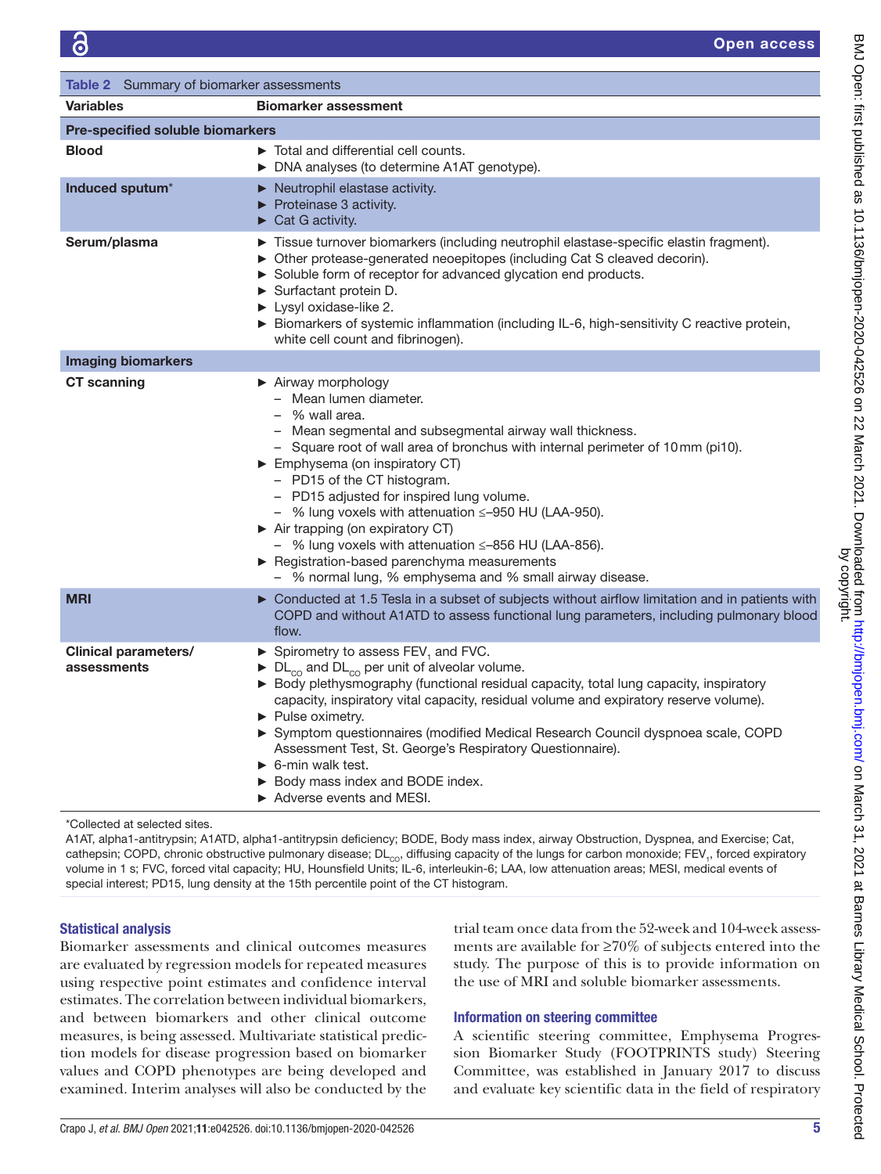<span id="page-5-0"></span>

| Table 2 Summary of biomarker assessments   |                                                                                                                                                                                                                                                                                                                                                                                                                                                                                                                                                                                                   |  |  |
|--------------------------------------------|---------------------------------------------------------------------------------------------------------------------------------------------------------------------------------------------------------------------------------------------------------------------------------------------------------------------------------------------------------------------------------------------------------------------------------------------------------------------------------------------------------------------------------------------------------------------------------------------------|--|--|
| <b>Variables</b>                           | <b>Biomarker assessment</b>                                                                                                                                                                                                                                                                                                                                                                                                                                                                                                                                                                       |  |  |
| Pre-specified soluble biomarkers           |                                                                                                                                                                                                                                                                                                                                                                                                                                                                                                                                                                                                   |  |  |
| <b>Blood</b>                               | $\triangleright$ Total and differential cell counts.<br>> DNA analyses (to determine A1AT genotype).                                                                                                                                                                                                                                                                                                                                                                                                                                                                                              |  |  |
| Induced sputum*                            | $\triangleright$ Neutrophil elastase activity.<br>$\blacktriangleright$ Proteinase 3 activity.<br>$\triangleright$ Cat G activity.                                                                                                                                                                                                                                                                                                                                                                                                                                                                |  |  |
| Serum/plasma                               | Tissue turnover biomarkers (including neutrophil elastase-specific elastin fragment).<br>• Other protease-generated neoepitopes (including Cat S cleaved decorin).<br>Soluble form of receptor for advanced glycation end products.<br>Surfactant protein D.<br>> Lysyl oxidase-like 2.<br>Biomarkers of systemic inflammation (including IL-6, high-sensitivity C reactive protein,<br>white cell count and fibrinogen).                                                                                                                                                                         |  |  |
| <b>Imaging biomarkers</b>                  |                                                                                                                                                                                                                                                                                                                                                                                                                                                                                                                                                                                                   |  |  |
| <b>CT</b> scanning                         | Airway morphology<br>- Mean lumen diameter.<br>- % wall area.<br>- Mean segmental and subsegmental airway wall thickness.<br>- Square root of wall area of bronchus with internal perimeter of 10mm (pi10).<br>Emphysema (on inspiratory CT)<br>- PD15 of the CT histogram.<br>- PD15 adjusted for inspired lung volume.<br>- % lung voxels with attenuation $\leq -950$ HU (LAA-950).<br>Air trapping (on expiratory CT)<br>- % lung voxels with attenuation $\leq -856$ HU (LAA-856).<br>Registration-based parenchyma measurements<br>- % normal lung, % emphysema and % small airway disease. |  |  |
| <b>MRI</b>                                 | ► Conducted at 1.5 Tesla in a subset of subjects without airflow limitation and in patients with<br>COPD and without A1ATD to assess functional lung parameters, including pulmonary blood<br>flow.                                                                                                                                                                                                                                                                                                                                                                                               |  |  |
| <b>Clinical parameters/</b><br>assessments | Spirometry to assess $FEV1$ and FVC.<br>$\triangleright$ DL <sub>co</sub> and DL <sub>co</sub> per unit of alveolar volume.<br>▶ Body plethysmography (functional residual capacity, total lung capacity, inspiratory<br>capacity, inspiratory vital capacity, residual volume and expiratory reserve volume).<br>Pulse oximetry.<br>Symptom questionnaires (modified Medical Research Council dyspnoea scale, COPD<br>Assessment Test, St. George's Respiratory Questionnaire).<br>$\triangleright$ 6-min walk test.<br>▶ Body mass index and BODE index.<br>► Adverse events and MESI.          |  |  |

\*Collected at selected sites.

A1AT, alpha1-antitrypsin; A1ATD, alpha1-antitrypsin deficiency; BODE, Body mass index, airway Obstruction, Dyspnea, and Exercise; Cat, cathepsin; COPD, chronic obstructive pulmonary disease; DL<sub>co</sub>, diffusing capacity of the lungs for carbon monoxide; FEV<sub>1</sub>, forced expiratory volume in 1 s; FVC, forced vital capacity; HU, Hounsfield Units; IL-6, interleukin-6; LAA, low attenuation areas; MESI, medical events of special interest; PD15, lung density at the 15th percentile point of the CT histogram.

# Statistical analysis

Biomarker assessments and clinical outcomes measures are evaluated by regression models for repeated measures using respective point estimates and confidence interval estimates. The correlation between individual biomarkers, and between biomarkers and other clinical outcome measures, is being assessed. Multivariate statistical prediction models for disease progression based on biomarker values and COPD phenotypes are being developed and examined. Interim analyses will also be conducted by the

trial team once data from the 52-week and 104-week assessments are available for ≥70% of subjects entered into the study. The purpose of this is to provide information on the use of MRI and soluble biomarker assessments.

#### Information on steering committee

A scientific steering committee, Emphysema Progression Biomarker Study (FOOTPRINTS study) Steering Committee, was established in January 2017 to discuss and evaluate key scientific data in the field of respiratory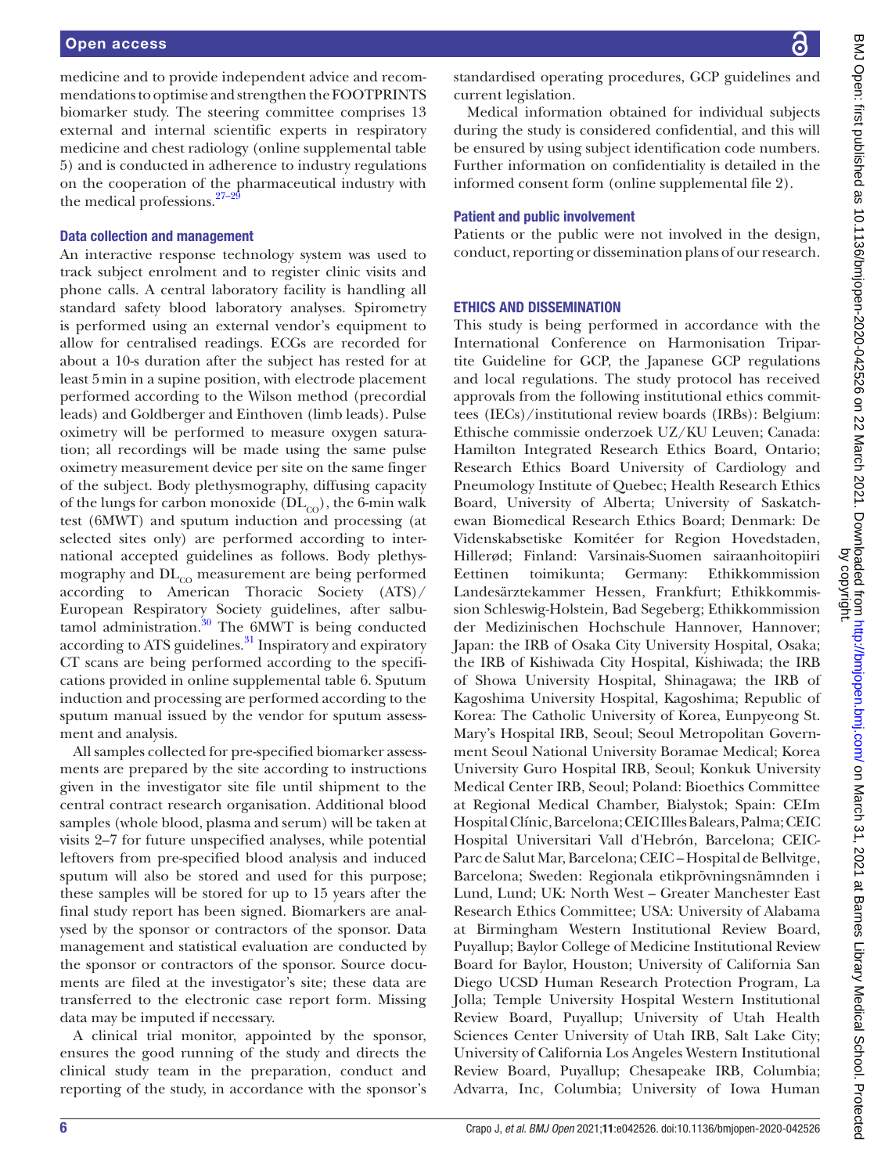medicine and to provide independent advice and recommendations to optimise and strengthen the FOOTPRINTS biomarker study. The steering committee comprises 13 external and internal scientific experts in respiratory medicine and chest radiology ([online supplemental table](https://dx.doi.org/10.1136/bmjopen-2020-042526) [5\)](https://dx.doi.org/10.1136/bmjopen-2020-042526) and is conducted in adherence to industry regulations on the cooperation of the pharmaceutical industry with the medical professions.<sup>27-</sup>

#### Data collection and management

An interactive response technology system was used to track subject enrolment and to register clinic visits and phone calls. A central laboratory facility is handling all standard safety blood laboratory analyses. Spirometry is performed using an external vendor's equipment to allow for centralised readings. ECGs are recorded for about a 10-s duration after the subject has rested for at least 5min in a supine position, with electrode placement performed according to the Wilson method (precordial leads) and Goldberger and Einthoven (limb leads). Pulse oximetry will be performed to measure oxygen saturation; all recordings will be made using the same pulse oximetry measurement device per site on the same finger of the subject. Body plethysmography, diffusing capacity of the lungs for carbon monoxide  $(DL_{CO})$ , the 6-min walk test (6MWT) and sputum induction and processing (at selected sites only) are performed according to international accepted guidelines as follows. Body plethysmography and  $DL<sub>co</sub>$  measurement are being performed according to American Thoracic Society (ATS)/ European Respiratory Society guidelines, after salbu $t$ amol administration.<sup>[30](#page-9-15)</sup> The  $6MWT$  is being conducted according to ATS guidelines.<sup>31</sup> Inspiratory and expiratory CT scans are being performed according to the specifications provided in [online supplemental table 6.](https://dx.doi.org/10.1136/bmjopen-2020-042526) Sputum induction and processing are performed according to the sputum manual issued by the vendor for sputum assessment and analysis.

All samples collected for pre-specified biomarker assessments are prepared by the site according to instructions given in the investigator site file until shipment to the central contract research organisation. Additional blood samples (whole blood, plasma and serum) will be taken at visits 2–7 for future unspecified analyses, while potential leftovers from pre-specified blood analysis and induced sputum will also be stored and used for this purpose; these samples will be stored for up to 15 years after the final study report has been signed. Biomarkers are analysed by the sponsor or contractors of the sponsor. Data management and statistical evaluation are conducted by the sponsor or contractors of the sponsor. Source documents are filed at the investigator's site; these data are transferred to the electronic case report form. Missing data may be imputed if necessary.

A clinical trial monitor, appointed by the sponsor, ensures the good running of the study and directs the clinical study team in the preparation, conduct and reporting of the study, in accordance with the sponsor's

standardised operating procedures, GCP guidelines and current legislation.

Medical information obtained for individual subjects during the study is considered confidential, and this will be ensured by using subject identification code numbers. Further information on confidentiality is detailed in the informed consent form [\(online supplemental file 2\)](https://dx.doi.org/10.1136/bmjopen-2020-042526).

## Patient and public involvement

Patients or the public were not involved in the design, conduct, reporting or dissemination plans of our research.

## ETHICS AND DISSEMINATION

This study is being performed in accordance with the International Conference on Harmonisation Tripartite Guideline for GCP, the Japanese GCP regulations and local regulations. The study protocol has received approvals from the following institutional ethics committees (IECs)/institutional review boards (IRBs): Belgium: Ethische commissie onderzoek UZ/KU Leuven; Canada: Hamilton Integrated Research Ethics Board, Ontario; Research Ethics Board University of Cardiology and Pneumology Institute of Quebec; Health Research Ethics Board, University of Alberta; University of Saskatchewan Biomedical Research Ethics Board; Denmark: De Videnskabsetiske Komitéer for Region Hovedstaden, Hillerød; Finland: Varsinais-Suomen sairaanhoitopiiri Eettinen toimikunta; Germany: Ethikkommission Landesärztekammer Hessen, Frankfurt; Ethikkommission Schleswig-Holstein, Bad Segeberg; Ethikkommission der Medizinischen Hochschule Hannover, Hannover; Japan: the IRB of Osaka City University Hospital, Osaka; the IRB of Kishiwada City Hospital, Kishiwada; the IRB of Showa University Hospital, Shinagawa; the IRB of Kagoshima University Hospital, Kagoshima; Republic of Korea: The Catholic University of Korea, Eunpyeong St. Mary's Hospital IRB, Seoul; Seoul Metropolitan Government Seoul National University Boramae Medical; Korea University Guro Hospital IRB, Seoul; Konkuk University Medical Center IRB, Seoul; Poland: Bioethics Committee at Regional Medical Chamber, Bialystok; Spain: CEIm Hospital Clínic, Barcelona; CEIC Illes Balears, Palma; CEIC Hospital Universitari Vall d'Hebrón, Barcelona; CEIC-Parc de Salut Mar, Barcelona; CEIC – Hospital de Bellvitge, Barcelona; Sweden: Regionala etikprövningsnämnden i Lund, Lund; UK: North West – Greater Manchester East Research Ethics Committee; USA: University of Alabama at Birmingham Western Institutional Review Board, Puyallup; Baylor College of Medicine Institutional Review Board for Baylor, Houston; University of California San Diego UCSD Human Research Protection Program, La Jolla; Temple University Hospital Western Institutional Review Board, Puyallup; University of Utah Health Sciences Center University of Utah IRB, Salt Lake City; University of California Los Angeles Western Institutional Review Board, Puyallup; Chesapeake IRB, Columbia; Advarra, Inc, Columbia; University of Iowa Human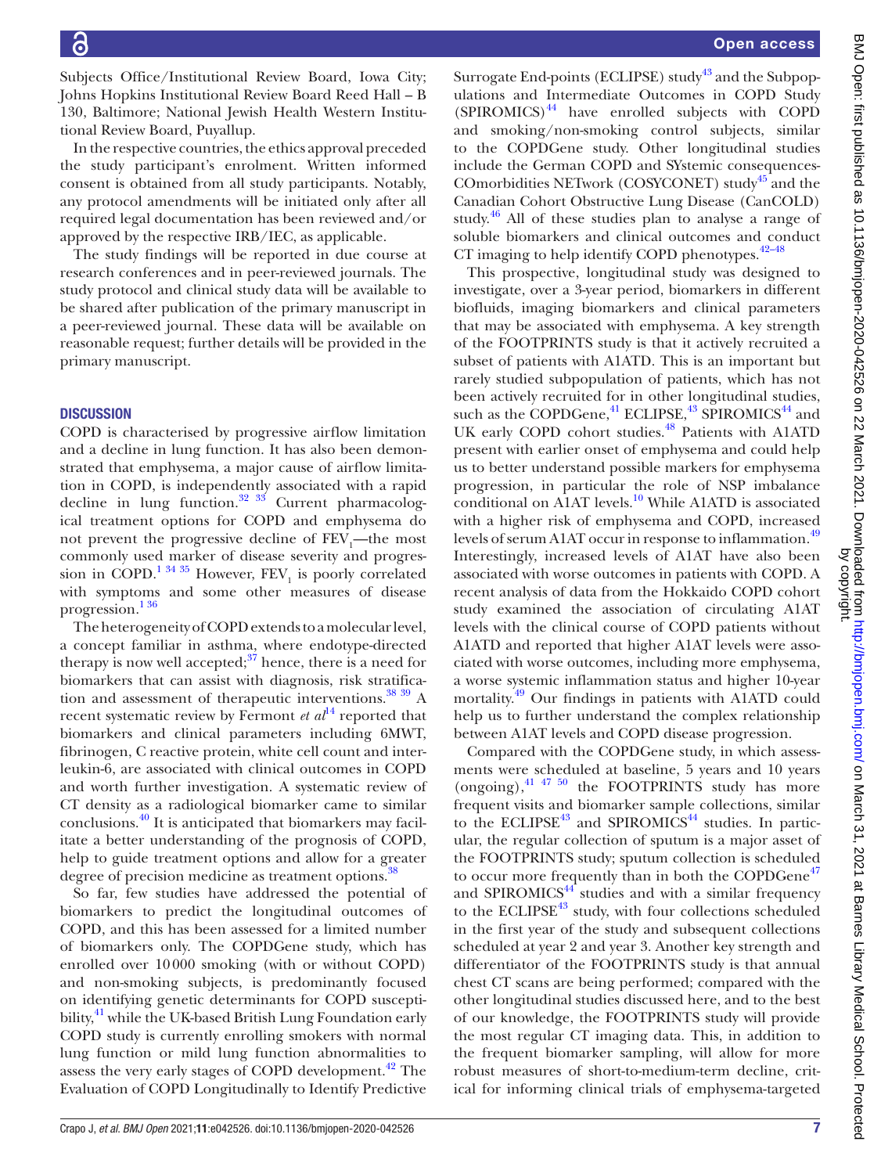Subjects Office/Institutional Review Board, Iowa City; Johns Hopkins Institutional Review Board Reed Hall – B 130, Baltimore; National Jewish Health Western Institutional Review Board, Puyallup.

In the respective countries, the ethics approval preceded the study participant's enrolment. Written informed consent is obtained from all study participants. Notably, any protocol amendments will be initiated only after all required legal documentation has been reviewed and/or approved by the respective IRB/IEC, as applicable.

The study findings will be reported in due course at research conferences and in peer-reviewed journals. The study protocol and clinical study data will be available to be shared after publication of the primary manuscript in a peer-reviewed journal. These data will be available on reasonable request; further details will be provided in the primary manuscript.

## **DISCUSSION**

COPD is characterised by progressive airflow limitation and a decline in lung function. It has also been demonstrated that emphysema, a major cause of airflow limitation in COPD, is independently associated with a rapid decline in lung function.<sup>32</sup>  $\frac{33}{35}$  Current pharmacological treatment options for COPD and emphysema do not prevent the progressive decline of  $\text{FEV}_1$ —the most commonly used marker of disease severity and progres-sion in COPD.<sup>[1 34 35](#page-9-0)</sup> However,  $\text{FEV}_1$  is poorly correlated with symptoms and some other measures of disease progression[.1 36](#page-9-0)

The heterogeneity of COPD extends to a molecular level, a concept familiar in asthma, where endotype-directed therapy is now well accepted; $3^7$  hence, there is a need for biomarkers that can assist with diagnosis, risk stratification and assessment of therapeutic interventions.<sup>38</sup> 39</sup> A recent systematic review by Fermont  $et al<sup>14</sup>$  $et al<sup>14</sup>$  $et al<sup>14</sup>$  reported that biomarkers and clinical parameters including 6MWT, fibrinogen, C reactive protein, white cell count and interleukin-6, are associated with clinical outcomes in COPD and worth further investigation. A systematic review of CT density as a radiological biomarker came to similar conclusions[.40](#page-10-3) It is anticipated that biomarkers may facilitate a better understanding of the prognosis of COPD, help to guide treatment options and allow for a greater degree of precision medicine as treatment options.<sup>3</sup>

So far, few studies have addressed the potential of biomarkers to predict the longitudinal outcomes of COPD, and this has been assessed for a limited number of biomarkers only. The COPDGene study, which has enrolled over 10000 smoking (with or without COPD) and non-smoking subjects, is predominantly focused on identifying genetic determinants for COPD susceptibility,<sup>41</sup> while the UK-based British Lung Foundation early COPD study is currently enrolling smokers with normal lung function or mild lung function abnormalities to assess the very early stages of COPD development.<sup>42</sup> The Evaluation of COPD Longitudinally to Identify Predictive

Surrogate End-points (ECLIPSE) study<sup>43</sup> and the Subpopulations and Intermediate Outcomes in COPD Study  $(SPIROMICS)^{44}$  have enrolled subjects with COPD and smoking/non-smoking control subjects, similar to the COPDGene study. Other longitudinal studies include the German COPD and SYstemic consequences-COmorbidities NETwork (COSYCONET) study<sup>45</sup> and the Canadian Cohort Obstructive Lung Disease (CanCOLD) study.<sup>46</sup> All of these studies plan to analyse a range of soluble biomarkers and clinical outcomes and conduct CT imaging to help identify COPD phenotypes. $42-48$ 

This prospective, longitudinal study was designed to investigate, over a 3-year period, biomarkers in different biofluids, imaging biomarkers and clinical parameters that may be associated with emphysema. A key strength of the FOOTPRINTS study is that it actively recruited a subset of patients with A1ATD. This is an important but rarely studied subpopulation of patients, which has not been actively recruited for in other longitudinal studies, such as the COPDGene,<sup>[41](#page-10-4)</sup> ECLIPSE,<sup>43</sup> SPIROMICS<sup>44</sup> and UK early COPD cohort studies.<sup>48</sup> Patients with A1ATD present with earlier onset of emphysema and could help us to better understand possible markers for emphysema progression, in particular the role of NSP imbalance conditional on A1AT levels.<sup>10</sup> While A1ATD is associated with a higher risk of emphysema and COPD, increased levels of serum A1AT occur in response to inflammation.<sup>[49](#page-10-11)</sup> Interestingly, increased levels of A1AT have also been associated with worse outcomes in patients with COPD. A recent analysis of data from the Hokkaido COPD cohort study examined the association of circulating A1AT levels with the clinical course of COPD patients without A1ATD and reported that higher A1AT levels were associated with worse outcomes, including more emphysema, a worse systemic inflammation status and higher 10-year mortality. [49](#page-10-11) Our findings in patients with A1ATD could help us to further understand the complex relationship between A1AT levels and COPD disease progression.

Compared with the COPDGene study, in which assessments were scheduled at baseline, 5 years and 10 years (ongoing), $41 \frac{47}{50}$  the FOOTPRINTS study has more frequent visits and biomarker sample collections, similar to the ECLIPSE<sup>43</sup> and SPIROMICS<sup>44</sup> studies. In particular, the regular collection of sputum is a major asset of the FOOTPRINTS study; sputum collection is scheduled to occur more frequently than in both the COPDGene<sup>[47](#page-10-12)</sup> and SPIROMICS $44$  studies and with a similar frequency to the ECLIPSE<sup>43</sup> study, with four collections scheduled in the first year of the study and subsequent collections scheduled at year 2 and year 3. Another key strength and differentiator of the FOOTPRINTS study is that annual chest CT scans are being performed; compared with the other longitudinal studies discussed here, and to the best of our knowledge, the FOOTPRINTS study will provide the most regular CT imaging data. This, in addition to the frequent biomarker sampling, will allow for more robust measures of short-to-medium-term decline, critical for informing clinical trials of emphysema-targeted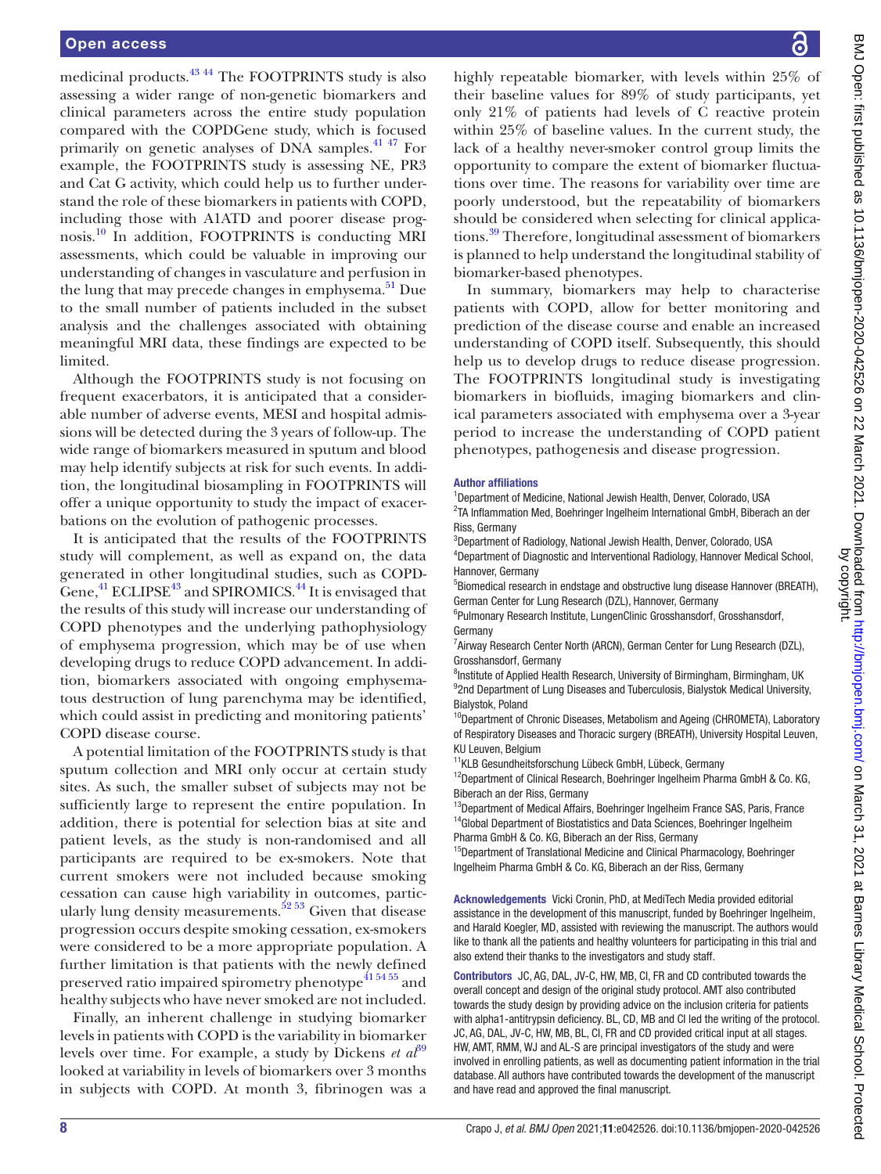medicinal products[.43 44](#page-10-6) The FOOTPRINTS study is also assessing a wider range of non-genetic biomarkers and clinical parameters across the entire study population compared with the COPDGene study, which is focused primarily on genetic analyses of DNA samples.<sup>41 47</sup> For example, the FOOTPRINTS study is assessing NE, PR3 and Cat G activity, which could help us to further understand the role of these biomarkers in patients with COPD, including those with A1ATD and poorer disease prognosis.[10](#page-9-5) In addition, FOOTPRINTS is conducting MRI assessments, which could be valuable in improving our understanding of changes in vasculature and perfusion in the lung that may precede changes in emphysema. $51$  Due to the small number of patients included in the subset analysis and the challenges associated with obtaining meaningful MRI data, these findings are expected to be limited.

Although the FOOTPRINTS study is not focusing on frequent exacerbators, it is anticipated that a considerable number of adverse events, MESI and hospital admissions will be detected during the 3 years of follow-up. The wide range of biomarkers measured in sputum and blood may help identify subjects at risk for such events. In addition, the longitudinal biosampling in FOOTPRINTS will offer a unique opportunity to study the impact of exacerbations on the evolution of pathogenic processes.

It is anticipated that the results of the FOOTPRINTS study will complement, as well as expand on, the data generated in other longitudinal studies, such as COPD-Gene, $^{41}$  ECLIPSE<sup>[43](#page-10-6)</sup> and SPIROMICS.<sup>44</sup> It is envisaged that the results of this study will increase our understanding of COPD phenotypes and the underlying pathophysiology of emphysema progression, which may be of use when developing drugs to reduce COPD advancement. In addition, biomarkers associated with ongoing emphysematous destruction of lung parenchyma may be identified, which could assist in predicting and monitoring patients' COPD disease course.

A potential limitation of the FOOTPRINTS study is that sputum collection and MRI only occur at certain study sites. As such, the smaller subset of subjects may not be sufficiently large to represent the entire population. In addition, there is potential for selection bias at site and patient levels, as the study is non-randomised and all participants are required to be ex-smokers. Note that current smokers were not included because smoking cessation can cause high variability in outcomes, particularly lung density measurements.<sup>52</sup> 53 Given that disease progression occurs despite smoking cessation, ex-smokers were considered to be a more appropriate population. A further limitation is that patients with the newly defined preserved ratio impaired spirometry phenotype<sup>41 54 55</sup> and healthy subjects who have never smoked are not included.

Finally, an inherent challenge in studying biomarker levels in patients with COPD is the variability in biomarker levels over time. For example, a study by Dickens *et al*<sup>89</sup> looked at variability in levels of biomarkers over 3 months in subjects with COPD. At month 3, fibrinogen was a

BMJ Open: first published as 10.1136/bmjopen-2020-042526 on 22 March 2021. Downloaded from http://bmjopen.bmj.com/ on March 31, 2021 at Barnes Library Medical School. Protected<br>by copyright BMJ Open: first published as 10.1136/bmjopen-2020-042526 on 22 March 2021. Downloaded from <http://bmjopen.bmj.com/> BM March 31, 2021 at Barnes Library Medical School. Protected by copyright.

highly repeatable biomarker, with levels within 25% of their baseline values for 89% of study participants, yet only 21% of patients had levels of C reactive protein within 25% of baseline values. In the current study, the lack of a healthy never-smoker control group limits the opportunity to compare the extent of biomarker fluctuations over time. The reasons for variability over time are poorly understood, but the repeatability of biomarkers should be considered when selecting for clinical applications.[39](#page-10-15) Therefore, longitudinal assessment of biomarkers is planned to help understand the longitudinal stability of biomarker-based phenotypes.

In summary, biomarkers may help to characterise patients with COPD, allow for better monitoring and prediction of the disease course and enable an increased understanding of COPD itself. Subsequently, this should help us to develop drugs to reduce disease progression. The FOOTPRINTS longitudinal study is investigating biomarkers in biofluids, imaging biomarkers and clinical parameters associated with emphysema over a 3-year period to increase the understanding of COPD patient phenotypes, pathogenesis and disease progression.

#### Author affiliations

<sup>1</sup>Department of Medicine, National Jewish Health, Denver, Colorado, USA <sup>2</sup>TA Inflammation Med, Boehringer Ingelheim International GmbH, Biberach an der Riss, Germany

3 Department of Radiology, National Jewish Health, Denver, Colorado, USA 4 Department of Diagnostic and Interventional Radiology, Hannover Medical School, Hannover, Germany

<sup>5</sup>Biomedical research in endstage and obstructive lung disease Hannover (BREATH), German Center for Lung Research (DZL), Hannover, Germany

6 Pulmonary Research Institute, LungenClinic Grosshansdorf, Grosshansdorf, Germany

<sup>7</sup> Airway Research Center North (ARCN), German Center for Lung Research (DZL), Grosshansdorf, Germany

<sup>8</sup>Institute of Applied Health Research, University of Birmingham, Birmingham, UK <sup>9</sup>2nd Department of Lung Diseases and Tuberculosis, Bialystok Medical University, Bialystok, Poland

<sup>10</sup>Department of Chronic Diseases, Metabolism and Ageing (CHROMETA), Laboratory of Respiratory Diseases and Thoracic surgery (BREATH), University Hospital Leuven, KU Leuven, Belgium

<sup>11</sup>KLB Gesundheitsforschung Lübeck GmbH, Lübeck, Germany

<sup>12</sup>Department of Clinical Research, Boehringer Ingelheim Pharma GmbH & Co. KG, Biberach an der Riss, Germany

<sup>13</sup>Department of Medical Affairs, Boehringer Ingelheim France SAS, Paris, France <sup>14</sup>Global Department of Biostatistics and Data Sciences, Boehringer Ingelheim Pharma GmbH & Co. KG, Biberach an der Riss, Germany

<sup>15</sup>Department of Translational Medicine and Clinical Pharmacology, Boehringer Ingelheim Pharma GmbH & Co. KG, Biberach an der Riss, Germany

Acknowledgements Vicki Cronin, PhD, at MediTech Media provided editorial assistance in the development of this manuscript, funded by Boehringer Ingelheim, and Harald Koegler, MD, assisted with reviewing the manuscript. The authors would like to thank all the patients and healthy volunteers for participating in this trial and also extend their thanks to the investigators and study staff.

Contributors JC, AG, DAL, JV-C, HW, MB, CI, FR and CD contributed towards the overall concept and design of the original study protocol. AMT also contributed towards the study design by providing advice on the inclusion criteria for patients with alpha1-antitrypsin deficiency. BL, CD, MB and CI led the writing of the protocol. JC, AG, DAL, JV-C, HW, MB, BL, CI, FR and CD provided critical input at all stages. HW, AMT, RMM, WJ and AL-S are principal investigators of the study and were involved in enrolling patients, as well as documenting patient information in the trial database. All authors have contributed towards the development of the manuscript and have read and approved the final manuscript.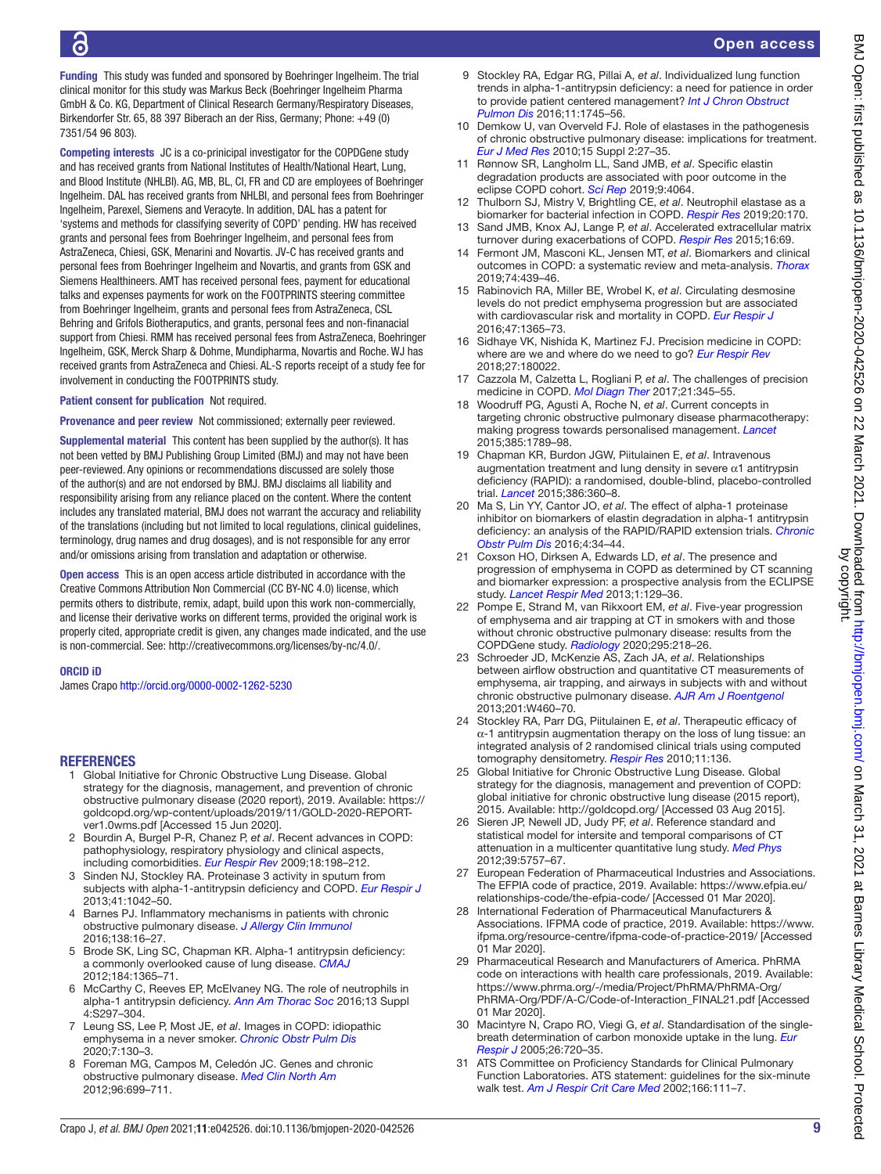# Open access

Funding This study was funded and sponsored by Boehringer Ingelheim. The trial clinical monitor for this study was Markus Beck (Boehringer Ingelheim Pharma GmbH & Co. KG, Department of Clinical Research Germany/Respiratory Diseases, Birkendorfer Str. 65, 88 397 Biberach an der Riss, Germany; Phone: +49 (0) 7351/54 96 803).

Competing interests JC is a co-prinicipal investigator for the COPDGene study and has received grants from National Institutes of Health/National Heart, Lung, and Blood Institute (NHLBI). AG, MB, BL, CI, FR and CD are employees of Boehringer Ingelheim. DAL has received grants from NHLBI, and personal fees from Boehringer Ingelheim, Parexel, Siemens and Veracyte. In addition, DAL has a patent for 'systems and methods for classifying severity of COPD' pending. HW has received grants and personal fees from Boehringer Ingelheim, and personal fees from AstraZeneca, Chiesi, GSK, Menarini and Novartis. JV-C has received grants and personal fees from Boehringer Ingelheim and Novartis, and grants from GSK and Siemens Healthineers. AMT has received personal fees, payment for educational talks and expenses payments for work on the FOOTPRINTS steering committee from Boehringer Ingelheim, grants and personal fees from AstraZeneca, CSL Behring and Grifols Biotheraputics, and grants, personal fees and non-finanacial support from Chiesi. RMM has received personal fees from AstraZeneca, Boehringer Ingelheim, GSK, Merck Sharp & Dohme, Mundipharma, Novartis and Roche. WJ has received grants from AstraZeneca and Chiesi. AL-S reports receipt of a study fee for involvement in conducting the FOOTPRINTS study.

Patient consent for publication Not required.

Provenance and peer review Not commissioned; externally peer reviewed.

Supplemental material This content has been supplied by the author(s). It has not been vetted by BMJ Publishing Group Limited (BMJ) and may not have been peer-reviewed. Any opinions or recommendations discussed are solely those of the author(s) and are not endorsed by BMJ. BMJ disclaims all liability and responsibility arising from any reliance placed on the content. Where the content includes any translated material, BMJ does not warrant the accuracy and reliability of the translations (including but not limited to local regulations, clinical guidelines, terminology, drug names and drug dosages), and is not responsible for any error and/or omissions arising from translation and adaptation or otherwise.

Open access This is an open access article distributed in accordance with the Creative Commons Attribution Non Commercial (CC BY-NC 4.0) license, which permits others to distribute, remix, adapt, build upon this work non-commercially, and license their derivative works on different terms, provided the original work is properly cited, appropriate credit is given, any changes made indicated, and the use is non-commercial. See: [http://creativecommons.org/licenses/by-nc/4.0/.](http://creativecommons.org/licenses/by-nc/4.0/)

#### ORCID iD

6

James Crapo<http://orcid.org/0000-0002-1262-5230>

#### REFERENCES

- <span id="page-9-0"></span>1 Global Initiative for Chronic Obstructive Lung Disease. Global strategy for the diagnosis, management, and prevention of chronic obstructive pulmonary disease (2020 report), 2019. Available: [https://](https://goldcopd.org/wp-content/uploads/2019/11/GOLD-2020-REPORT-ver1.0wms.pdf) [goldcopd.org/wp-content/uploads/2019/11/GOLD-2020-REPORT](https://goldcopd.org/wp-content/uploads/2019/11/GOLD-2020-REPORT-ver1.0wms.pdf)[ver1.0wms.pdf](https://goldcopd.org/wp-content/uploads/2019/11/GOLD-2020-REPORT-ver1.0wms.pdf) [Accessed 15 Jun 2020].
- 2 Bourdin A, Burgel P-R, Chanez P, *et al*. Recent advances in COPD: pathophysiology, respiratory physiology and clinical aspects, including comorbidities. *[Eur Respir Rev](http://dx.doi.org/10.1183/09059180.00005509)* 2009;18:198–212.
- <span id="page-9-1"></span>3 Sinden NJ, Stockley RA. Proteinase 3 activity in sputum from subjects with alpha-1-antitrypsin deficiency and COPD. *[Eur Respir J](http://dx.doi.org/10.1183/09031936.00089712)* 2013;41:1042–50.
- 4 Barnes PJ. Inflammatory mechanisms in patients with chronic obstructive pulmonary disease. *[J Allergy Clin Immunol](http://dx.doi.org/10.1016/j.jaci.2016.05.011)* 2016;138:16–27.
- <span id="page-9-2"></span>5 Brode SK, Ling SC, Chapman KR. Alpha-1 antitrypsin deficiency: a commonly overlooked cause of lung disease. *[CMAJ](http://dx.doi.org/10.1503/cmaj.111749)* 2012;184:1365–71.
- 6 McCarthy C, Reeves EP, McElvaney NG. The role of neutrophils in alpha-1 antitrypsin deficiency. *[Ann Am Thorac Soc](http://dx.doi.org/10.1513/AnnalsATS.201509-634KV)* 2016;13 Suppl 4:S297–304.
- <span id="page-9-3"></span>7 Leung SS, Lee P, Most JE, *et al*. Images in COPD: idiopathic emphysema in a never smoker. *[Chronic Obstr Pulm Dis](http://dx.doi.org/10.15326/jcopdf.7.2.2020.0148)* 2020;7:130–3.
- <span id="page-9-4"></span>8 Foreman MG, Campos M, Celedón JC. Genes and chronic obstructive pulmonary disease. *[Med Clin North Am](http://dx.doi.org/10.1016/j.mcna.2012.02.006)* 2012;96:699–711.
- <span id="page-9-13"></span>9 Stockley RA, Edgar RG, Pillai A, *et al*. Individualized lung function trends in alpha-1-antitrypsin deficiency: a need for patience in order to provide patient centered management? *[Int J Chron Obstruct](http://dx.doi.org/10.2147/COPD.S111508)  [Pulmon Dis](http://dx.doi.org/10.2147/COPD.S111508)* 2016;11:1745–56.
- <span id="page-9-5"></span>10 Demkow U, van Overveld FJ. Role of elastases in the pathogenesis of chronic obstructive pulmonary disease: implications for treatment. *[Eur J Med Res](http://dx.doi.org/10.1186/2047-783X-15-S2-27)* 2010;15 Suppl 2:27–35.
- <span id="page-9-6"></span>11 Rønnow SR, Langholm LL, Sand JMB, *et al*. Specific elastin degradation products are associated with poor outcome in the eclipse COPD cohort. *[Sci Rep](http://dx.doi.org/10.1038/s41598-019-40785-2)* 2019;9:4064.
- 12 Thulborn SJ, Mistry V, Brightling CE, *et al*. Neutrophil elastase as a biomarker for bacterial infection in COPD. *[Respir Res](http://dx.doi.org/10.1186/s12931-019-1145-4)* 2019;20:170.
- <span id="page-9-7"></span>13 Sand JMB, Knox AJ, Lange P, *et al*. Accelerated extracellular matrix turnover during exacerbations of COPD. *[Respir Res](http://dx.doi.org/10.1186/s12931-015-0225-3)* 2015;16:69.
- <span id="page-9-17"></span>14 Fermont JM, Masconi KL, Jensen MT, *et al*. Biomarkers and clinical outcomes in COPD: a systematic review and meta-analysis. *[Thorax](http://dx.doi.org/10.1136/thoraxjnl-2018-211855)* 2019;74:439–46.
- 15 Rabinovich RA, Miller BE, Wrobel K, *et al*. Circulating desmosine levels do not predict emphysema progression but are associated with cardiovascular risk and mortality in COPD. *[Eur Respir J](http://dx.doi.org/10.1183/13993003.01824-2015)* 2016;47:1365–73.
- <span id="page-9-8"></span>16 Sidhaye VK, Nishida K, Martinez FJ. Precision medicine in COPD: where are we and where do we need to go? *[Eur Respir Rev](http://dx.doi.org/10.1183/16000617.0022-2018)* 2018;27:180022.
- 17 Cazzola M, Calzetta L, Rogliani P, *et al*. The challenges of precision medicine in COPD. *[Mol Diagn Ther](http://dx.doi.org/10.1007/s40291-017-0266-z)* 2017;21:345–55.
- 18 Woodruff PG, Agusti A, Roche N, *et al*. Current concepts in targeting chronic obstructive pulmonary disease pharmacotherapy: making progress towards personalised management. *[Lancet](http://dx.doi.org/10.1016/S0140-6736(15)60693-6)* 2015;385:1789–98.
- <span id="page-9-9"></span>19 Chapman KR, Burdon JGW, Piitulainen E, *et al*. Intravenous augmentation treatment and lung density in severe  $\alpha$ 1 antitrypsin deficiency (RAPID): a randomised, double-blind, placebo-controlled trial. *[Lancet](http://dx.doi.org/10.1016/S0140-6736(15)60860-1)* 2015;386:360–8.
- 20 Ma S, Lin YY, Cantor JO, *et al*. The effect of alpha-1 proteinase inhibitor on biomarkers of elastin degradation in alpha-1 antitrypsin deficiency: an analysis of the RAPID/RAPID extension trials. *[Chronic](http://dx.doi.org/10.15326/jcopdf.4.1.2016.0156)  [Obstr Pulm Dis](http://dx.doi.org/10.15326/jcopdf.4.1.2016.0156)* 2016;4:34–44.
- <span id="page-9-10"></span>21 Coxson HO, Dirksen A, Edwards LD, *et al*. The presence and progression of emphysema in COPD as determined by CT scanning and biomarker expression: a prospective analysis from the ECLIPSE study. *[Lancet Respir Med](http://dx.doi.org/10.1016/S2213-2600(13)70006-7)* 2013;1:129–36.
- 22 Pompe E, Strand M, van Rikxoort EM, *et al*. Five-year progression of emphysema and air trapping at CT in smokers with and those without chronic obstructive pulmonary disease: results from the COPDGene study. *[Radiology](http://dx.doi.org/10.1148/radiol.2020191429)* 2020;295:218–26.
- 23 Schroeder JD, McKenzie AS, Zach JA, *et al*. Relationships between airflow obstruction and quantitative CT measurements of emphysema, air trapping, and airways in subjects with and without chronic obstructive pulmonary disease. *[AJR Am J Roentgenol](http://dx.doi.org/10.2214/AJR.12.10102)* 2013;201:W460–70.
- 24 Stockley RA, Parr DG, Piitulainen E, *et al*. Therapeutic efficacy of  $α-1$  antitrypsin augmentation therapy on the loss of lung tissue: an integrated analysis of 2 randomised clinical trials using computed tomography densitometry. *[Respir Res](http://dx.doi.org/10.1186/1465-9921-11-136)* 2010;11:136.
- <span id="page-9-11"></span>25 Global Initiative for Chronic Obstructive Lung Disease. Global strategy for the diagnosis, management and prevention of COPD: global initiative for chronic obstructive lung disease (2015 report), 2015. Available: <http://goldcopd.org/>[Accessed 03 Aug 2015].
- <span id="page-9-12"></span>26 Sieren JP, Newell JD, Judy PF, *et al*. Reference standard and statistical model for intersite and temporal comparisons of CT attenuation in a multicenter quantitative lung study. *[Med Phys](http://dx.doi.org/10.1118/1.4747342)* 2012;39:5757–67.
- <span id="page-9-14"></span>27 European Federation of Pharmaceutical Industries and Associations. The EFPIA code of practice, 2019. Available: [https://www.efpia.eu/](https://www.efpia.eu/relationships-code/the-efpia-code/) [relationships-code/the-efpia-code/](https://www.efpia.eu/relationships-code/the-efpia-code/) [Accessed 01 Mar 2020].
- 28 International Federation of Pharmaceutical Manufacturers & Associations. IFPMA code of practice, 2019. Available: [https://www.](https://www.ifpma.org/resource-centre/ifpma-code-of-practice-2019/) [ifpma.org/resource-centre/ifpma-code-of-practice-2019/](https://www.ifpma.org/resource-centre/ifpma-code-of-practice-2019/) [Accessed 01 Mar 2020].
- 29 Pharmaceutical Research and Manufacturers of America. PhRMA code on interactions with health care professionals, 2019. Available: [https://www.phrma.org/-/media/Project/PhRMA/PhRMA-Org/](https://www.phrma.org/-/media/Project/PhRMA/PhRMA-Org/PhRMA-Org/PDF/A-C/Code-of-Interaction_FINAL21.pdf) [PhRMA-Org/PDF/A-C/Code-of-Interaction\\_FINAL21.pdf](https://www.phrma.org/-/media/Project/PhRMA/PhRMA-Org/PhRMA-Org/PDF/A-C/Code-of-Interaction_FINAL21.pdf) [Accessed 01 Mar 2020].
- <span id="page-9-15"></span>30 Macintyre N, Crapo RO, Viegi G, *et al*. Standardisation of the singlebreath determination of carbon monoxide uptake in the lung. *[Eur](http://dx.doi.org/10.1183/09031936.05.00034905)  [Respir J](http://dx.doi.org/10.1183/09031936.05.00034905)* 2005;26:720–35.
- <span id="page-9-16"></span>31 ATS Committee on Proficiency Standards for Clinical Pulmonary Function Laboratories. ATS statement: guidelines for the six-minute walk test. *[Am J Respir Crit Care Med](http://dx.doi.org/10.1164/ajrccm.166.1.at1102)* 2002;166:111–7.